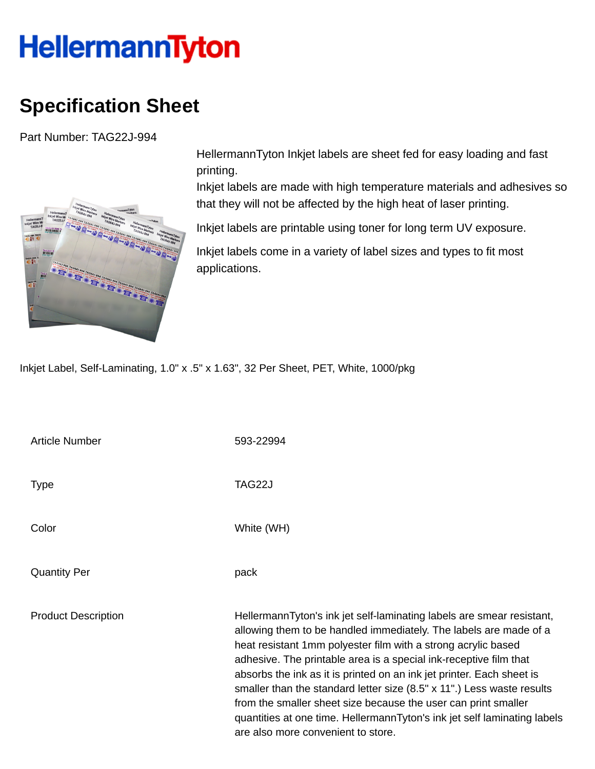## HellermannTyton

## **Specification Sheet**

Part Number: TAG22J-994



HellermannTyton Inkjet labels are sheet fed for easy loading and fast printing.

Inkjet labels are made with high temperature materials and adhesives so that they will not be affected by the high heat of laser printing.

Inkjet labels are printable using toner for long term UV exposure.

Inkjet labels come in a variety of label sizes and types to fit most applications.

Inkjet Label, Self-Laminating, 1.0" x .5" x 1.63", 32 Per Sheet, PET, White, 1000/pkg

| <b>Article Number</b>      | 593-22994                                                                                                                                                                                                                                                                                                                                                                                                                                                                                                                                                                                                               |
|----------------------------|-------------------------------------------------------------------------------------------------------------------------------------------------------------------------------------------------------------------------------------------------------------------------------------------------------------------------------------------------------------------------------------------------------------------------------------------------------------------------------------------------------------------------------------------------------------------------------------------------------------------------|
| <b>Type</b>                | TAG22J                                                                                                                                                                                                                                                                                                                                                                                                                                                                                                                                                                                                                  |
| Color                      | White (WH)                                                                                                                                                                                                                                                                                                                                                                                                                                                                                                                                                                                                              |
| <b>Quantity Per</b>        | pack                                                                                                                                                                                                                                                                                                                                                                                                                                                                                                                                                                                                                    |
| <b>Product Description</b> | HellermannTyton's ink jet self-laminating labels are smear resistant,<br>allowing them to be handled immediately. The labels are made of a<br>heat resistant 1mm polyester film with a strong acrylic based<br>adhesive. The printable area is a special ink-receptive film that<br>absorbs the ink as it is printed on an ink jet printer. Each sheet is<br>smaller than the standard letter size (8.5" x 11".) Less waste results<br>from the smaller sheet size because the user can print smaller<br>quantities at one time. HellermannTyton's ink jet self laminating labels<br>are also more convenient to store. |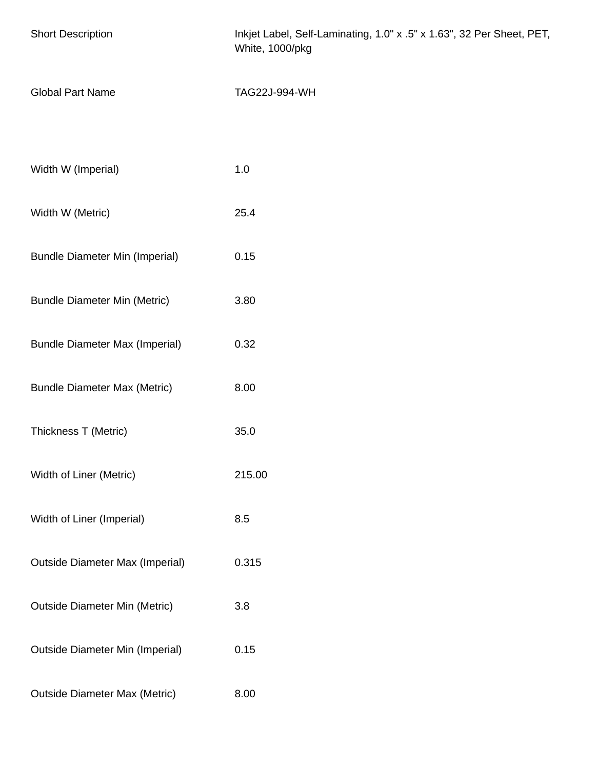| <b>Short Description</b>               | Inkjet Label, Self-Laminating, 1.0" x .5" x 1.63", 32 Per Sheet, PET,<br>White, 1000/pkg |
|----------------------------------------|------------------------------------------------------------------------------------------|
| <b>Global Part Name</b>                | TAG22J-994-WH                                                                            |
| Width W (Imperial)                     | 1.0                                                                                      |
| Width W (Metric)                       | 25.4                                                                                     |
| <b>Bundle Diameter Min (Imperial)</b>  | 0.15                                                                                     |
| <b>Bundle Diameter Min (Metric)</b>    | 3.80                                                                                     |
| <b>Bundle Diameter Max (Imperial)</b>  | 0.32                                                                                     |
| <b>Bundle Diameter Max (Metric)</b>    | 8.00                                                                                     |
| Thickness T (Metric)                   | 35.0                                                                                     |
| Width of Liner (Metric)                | 215.00                                                                                   |
| Width of Liner (Imperial)              | 8.5                                                                                      |
| <b>Outside Diameter Max (Imperial)</b> | 0.315                                                                                    |
| <b>Outside Diameter Min (Metric)</b>   | 3.8                                                                                      |
| <b>Outside Diameter Min (Imperial)</b> | 0.15                                                                                     |
| <b>Outside Diameter Max (Metric)</b>   | 8.00                                                                                     |